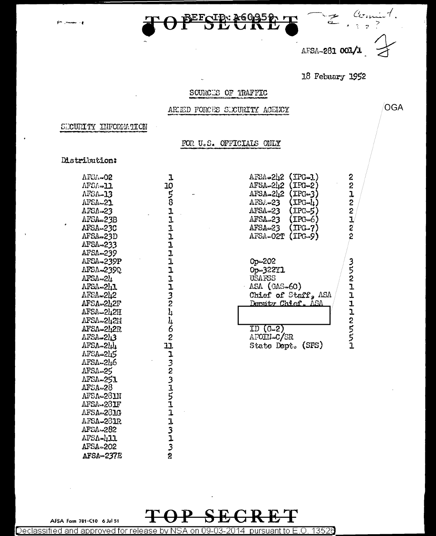

AFSA-281 001/

OGA

18 Febuary 1952

#### SOURCES OF TRAFFIC

ARIED FORCES SUCURITY AGENCY

#### SECURITY INFORMATION

#### FOR U.S. OFFICIALS ONLY

#### Distribution:

| AFSA-02                |  |
|------------------------|--|
| AFSA⇒11                |  |
| AFSA-13                |  |
| AFSA-21                |  |
| AFSA-23                |  |
| AFSA-23B               |  |
| AFSA-23C               |  |
| AFSA-23D               |  |
| AFSA-233               |  |
| AFSA~239               |  |
| AFSA-239P              |  |
| AFSA-2390              |  |
| AFSA-24                |  |
| AFSA-2h1               |  |
| AFSA-242               |  |
| AFSA-242F              |  |
| AFSA-242H              |  |
| AFSA-242H              |  |
| AFSA-242R              |  |
| AFSA-243               |  |
| AFSA-244               |  |
| AFSA-215               |  |
| AFSA-246               |  |
| AFSA-25                |  |
| <b><i>AFSA-251</i></b> |  |
| AFSA=28                |  |
| AFSA-281N              |  |
| AFSA-281F              |  |
| AFSA-281G              |  |
| AFSA-281R              |  |
| AFSA-282               |  |
| AFSA-411               |  |
| AFSA-202               |  |
| AFSA-237E              |  |

よのとのよよよよよよよよよよよとともなるとばよそらとよこよともある

| AFSA-242 (IPG-1)<br>AFSA-242 (IPG-2)<br>AFSA-242 (IPG-3)<br>AFSA-23<br>$(\text{IPG-1})$<br>$\Lambda$ FSA=23<br>$(IPG-5)$<br>$(IPC=6)$<br>AFSA23 | 2<br>2<br>ı<br>2                      |
|-------------------------------------------------------------------------------------------------------------------------------------------------|---------------------------------------|
| $(TPG-7)$<br>AFSA-23<br>$(IPG-9)$<br>$\Lambda$ FSA-02T                                                                                          | $2$<br>$\frac{1}{2}$<br>$\frac{2}{2}$ |
| Op-202<br>Op-322Y1<br>USAFSS<br>$ASA$ (GAS-60)<br>Chief of Staff, ASA<br>Demity Chief. ASA                                                      | 3521112657                            |
| ID $(G-2)$<br>AFOIN-C/SR<br>(SPS)<br>State Dept.                                                                                                |                                       |

AFSA Form 781-C10 6 Jul 51

13526 Declassified and approved for release by NS SА on 09-03-2014 pursuant to  $E.O.$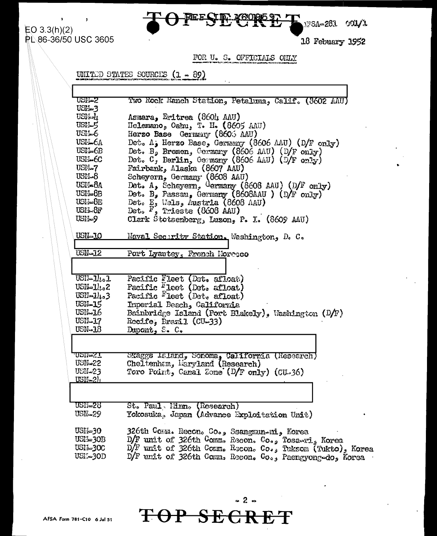

 $EO 3.3(h)(2)$ **PL 86-36/50 USC 3605** 

18 Febuary 1952

**17SA-283** 

FOR U. S. OFFICIAIS OHLY

UNITED STATES SOURCES  $(1 - 89)$ 

USN-2 Two Rock Hanch Station, Petaluma, Calif. (8602 AAU) **USM-3** USN-h Asmara, Eritrea (860h AAU) **USH-5** Helemano, Oahu, T. H. (8605 AAU) USIL-6 Herzo Base Germany (8605 AAU) Det. A, Herzo Base, Germany (8606 AAU) (D/F only) USN-6A USIL-6B Det. B, Bremen, Germany (8606 AAU) (D/F only) USM. 6C Det.  $C_f$  Berlin, Germany (8606 AAU) (D/F only) USM-7 Fairbank, Alaska (8607 AAU) Scheyern, Germany (8608 AAU)<br>Det. A, Scheyern, Germany (8608 AAU) (D/F only)<br>Det. B, Passau, Germany (8608AAU) (D/F only)  $USM-8$ USI-8A USN-8R Det.  $E_s$  Wells, Austria (8608 AAU)<br>Det.  $F_s$  Trieste (8608 AAU) USI-I-8E USIL-8F USM-9 Clark Stotsenberg, Luzon, P. I. (8609 AAU) USN-10 Naval Security Station. Washington, D. C. **USN-12** Port Lyautey, French Morecco  $USI1 - 11 - 1$ Pacific Fleet (Det. afloat) USN-14.2 Pacific <sup>F</sup>leet (Det. afloat) Pacific Fleet (Det. afloat)  $USII = 11<sub>10</sub>3$ USN-15 Imperial Beach, California  $USN-16$ Bainbridge Island (Port Blakely), Washington  $(D/F)$ **USN-17**  $Recife_* Exail (CU-33)$  $USN - 18$ Dupont, S. C. <u>npileST</u> Skaggs Island, Sonoma, California (Research) **USN-22** Cheltenham, Haryland (Research) USM-23 Toro Point, Canal Zone (D/F only) (CU-36)  $USN-2h$ St. Paul, Minn. (Research) USN=28 USN-29 Yokosuka, Japan (Advance Exploitation Unit) USN-30 326th Comm. Recon. Co., Ssangmun-ni, Korea USI's 30B D/F unit of 326th Comm. Recon. Co., Tosawri, Korea  $D/F$  unit of 326th Comm. Recon. Co., Tuksom (Tukto), Korea USI-1-300 D/F unit of 326th Comm. Becon. Co., Paengyong-do, Korea  $USL - 3OD$ 

<del>OP SECR</del>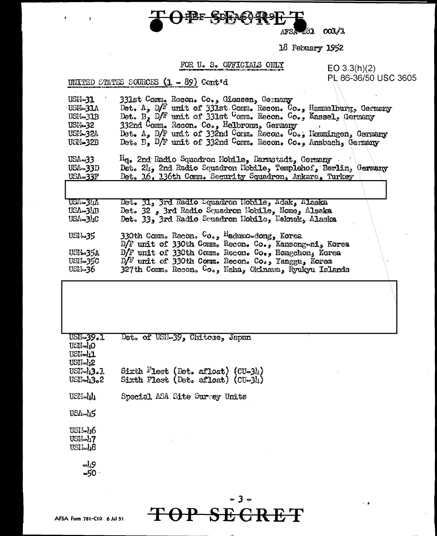

 $AFSA = 31 001/1$ 

18 Febuary 1952

#### FOR U. S. OFFICIALS ONLY

UNITED STATES SOURCES (1 - 89) Cont'd

EO 3.3(h)(2)<br>PL 86-36/50 USC 3605

| USN-31<br>USM-31A<br>USM-31B<br>USM-32<br>USIL 32A<br>USN-32B<br>USA-33 | 331st Comm. Recon. Co., Giessen, Germany<br>Det. A, $D/F$ unit of 331st Comm. Recon. Co., Hammelburg, Germany<br>Det. B, D/F unit of 331st $C_{\text{comm}}$ . Recon. $C_{\text{O}_{\text{e}}},$ Kassel, Germany<br>332nd Comm. Recon. Co., Helbronn, Germany<br>Det. $A_3$ D/F unit of 332nd Corm. Recon. Co., Hemmingen, Germany Det. B, D/F unit of 332nd Comm. Recon. Co., Ansbach, Germany<br>$\text{H}_{\text{Qe}}$ 2nd Radio Squadron Mobile, Darmstadt, Germany . |
|-------------------------------------------------------------------------|---------------------------------------------------------------------------------------------------------------------------------------------------------------------------------------------------------------------------------------------------------------------------------------------------------------------------------------------------------------------------------------------------------------------------------------------------------------------------|
| <b>USA-33D</b><br>USA-33F                                               | Det. 24, 2nd Radio Squadron Nobile, Templehof, Berlin, Germany<br>Det. 16, 136th Comm. Security Squadron, Ankara, Turkey                                                                                                                                                                                                                                                                                                                                                  |
|                                                                         |                                                                                                                                                                                                                                                                                                                                                                                                                                                                           |
| USA-34A<br>$USA \rightarrow B$<br>$USA = 3\mu C$                        | Det. 31, 3rd Radio Squadron Nobile, Adak, Alaska<br>Det. 32, 3rd Radio Squadron Mobile, Nome, Alsaka<br>Det. 33. 3rd Radio Squadron Hobile, Naknek, Alaska                                                                                                                                                                                                                                                                                                                |
| USI-1-35<br>USM-35A<br>USH-35C<br>USLI <b>-36</b>                       | 330th Comm. Recon. Co., Hadumo-dong, Korea<br>D/F unit of 330th Comm. Recon. Co., Kansong-ni, Korea<br>D/F unit of 330th Comm. Recon. Co., Hongchon, Korea<br>$D/F$ unit of 330th Comm. Recon. Co., Yanggu, Korea<br>327th Comm. Recon. Co., Naha, Okinawa, Ryukyu Islands                                                                                                                                                                                                |
|                                                                         |                                                                                                                                                                                                                                                                                                                                                                                                                                                                           |
| USN-39.1<br>USN-40<br>USN-41<br>USN-42                                  | Det. of USN-39, Chitose, Japan                                                                                                                                                                                                                                                                                                                                                                                                                                            |
| $USI_4J_2.1$<br>USN-43.2                                                | Sixth Fleet (Det. afloat) $(U \rightarrow 3)$<br>Sixth Fleet (Det. afloat) $(CU-3L)$                                                                                                                                                                                                                                                                                                                                                                                      |
| USFI-44                                                                 | Special ASA Site Survey Units                                                                                                                                                                                                                                                                                                                                                                                                                                             |
| USA-45                                                                  |                                                                                                                                                                                                                                                                                                                                                                                                                                                                           |
| USI:-16                                                                 |                                                                                                                                                                                                                                                                                                                                                                                                                                                                           |

USH-40

 $\frac{10}{10}$ 

# TOP SECRET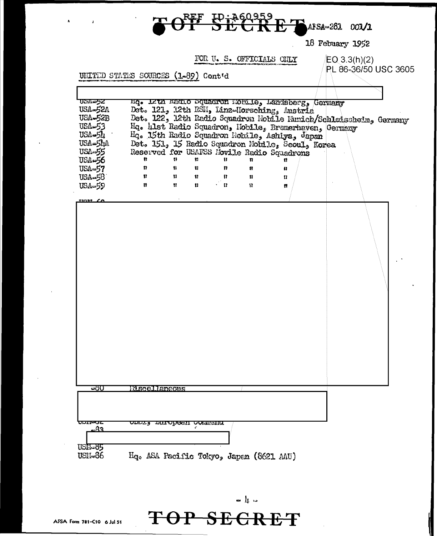

18 Febuary 1952

 $EO(3.3(h)(2)$ 

PL 86-36/50 USC 3605

FOR U. S. OFFICIALS ONLY

UNITED STATES SOURCES (1-89) Cont'd

| <b>DEAL=52</b><br>USA-52A<br>USA-52B<br><b>USA-53</b><br>$USA - 5L$<br>USA=54A<br>USA-55<br>USA-56<br><b>USA-57</b><br>USA-58<br><b>USA-59</b> | ng. Ikun maano bquaaron momile, Landsberg, Germany<br>Det. 121, 12th RSH, Linz-Horsching, Austria<br>Hq. hlst Radio Squadron, Hobile, Bremerhaven, Germany<br>Hq. 15th Radio Squadron Nobile, Ashiya, Japan<br>Det. 151, 15 Radio Squadron Mobile, Secul, Korea<br>Reserved for USAFSS Movile Radio Squadrons<br>ŧ.<br>13<br>$\boldsymbol{\Pi}$<br>11<br>$\mathbf{H}$<br>$\mathbf{H}$<br>m<br>Ħ. | Y.<br>11<br>$\Pi$<br>$\mathbf{u}$ | 81.<br>n<br>Ħ.<br>$\sim 0.1$ | u<br>8<br>Ħ<br>钍. | 17<br>W.<br>u<br>臂 | Det. 122, 12th Radio Squadron Nobile Munich/Schleissheim, Germany |  |
|------------------------------------------------------------------------------------------------------------------------------------------------|--------------------------------------------------------------------------------------------------------------------------------------------------------------------------------------------------------------------------------------------------------------------------------------------------------------------------------------------------------------------------------------------------|-----------------------------------|------------------------------|-------------------|--------------------|-------------------------------------------------------------------|--|
| <b>TYMBE SA</b>                                                                                                                                |                                                                                                                                                                                                                                                                                                                                                                                                  |                                   |                              |                   |                    |                                                                   |  |
| -ත්ර                                                                                                                                           | <b>Miscellaneous</b>                                                                                                                                                                                                                                                                                                                                                                             |                                   |                              |                   |                    |                                                                   |  |
| <b>UDIT®UL</b><br>.83<br>USEL-85<br>USI:1=36                                                                                                   | <u>uwig antupeen pumanni</u><br>Hq. ASA Pacific Tokyo, Japan (8621 AAU)                                                                                                                                                                                                                                                                                                                          |                                   |                              |                   |                    |                                                                   |  |

 $\begin{array}{c} \mathbf{a} \mathbf{b} \mathbf{c} \end{array} \begin{array}{c} \mathbf{b} \mathbf{c} \end{array}$ 

TOP SECRET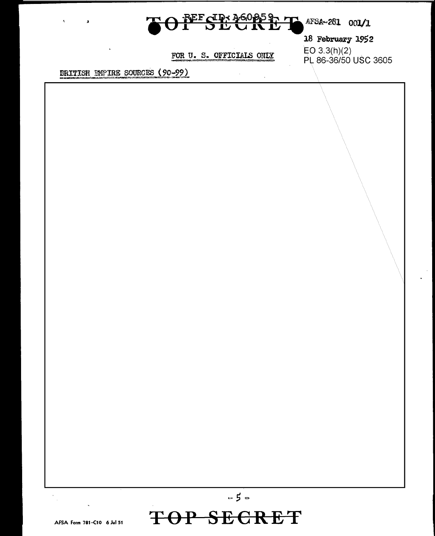

 $\sum$  AFSA-281 001/1

18 February 1952 EO 3.3(h)(2)<br>PL 86-36/50 USC 3605

FOR U. S. OFFICIALS ONLY

**ERITISH EMPIRE SOURCES (90-99)** 

 $\epsilon$ 

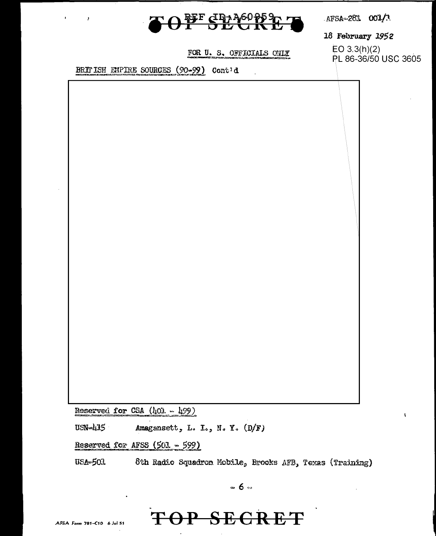

AFSA-281 001/3

18 February 1952

FOR U. S. OFFICIALS ONLY

BRITISH EMPIRE SOURCES (90-99) Cont'd

 $EO 3.3(h)(2)$ PL 86-36/50 USC 3605

Reserved for CSA  $(l_101 - l_199)$ 

USN-415 Amagensett, L. I., N. Y. (D/F)

Reserved for AFSS (501 - 599)

**USA-503** 8th Radio Squadron Mobile, Brooks AFB, Texas (Training)

 $\approx 6 \approx$ 

## OP SEGRET